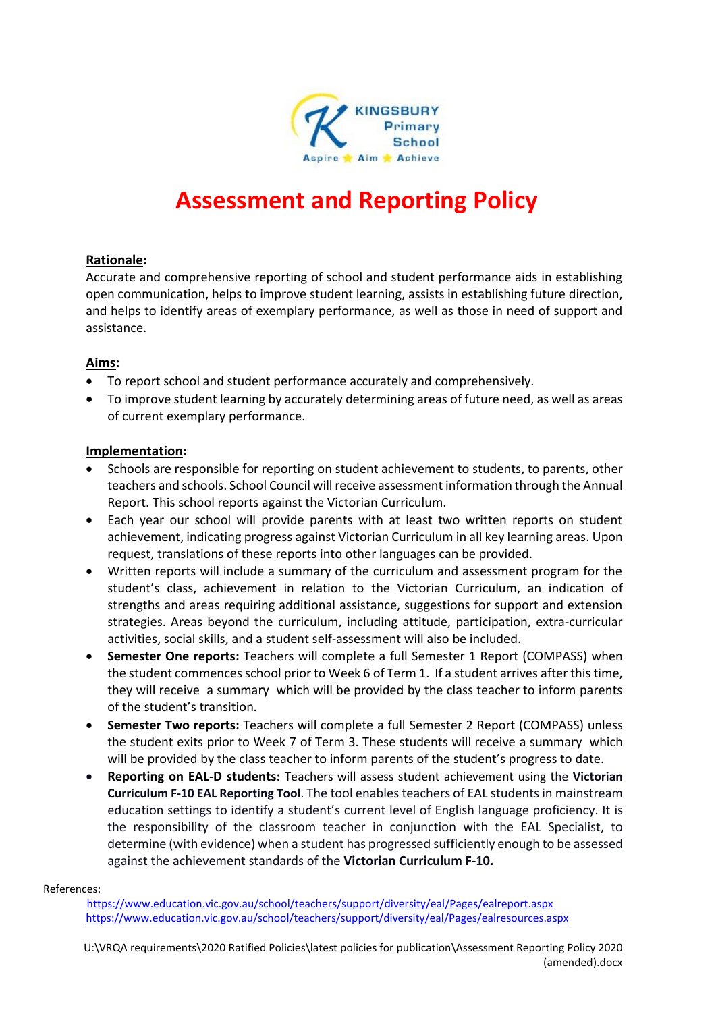

# **Assessment and Reporting Policy**

## **Rationale:**

Accurate and comprehensive reporting of school and student performance aids in establishing open communication, helps to improve student learning, assists in establishing future direction, and helps to identify areas of exemplary performance, as well as those in need of support and assistance.

### **Aims:**

- To report school and student performance accurately and comprehensively.
- To improve student learning by accurately determining areas of future need, as well as areas of current exemplary performance.

### **Implementation:**

- Schools are responsible for reporting on student achievement to students, to parents, other teachers and schools. School Council will receive assessment information through the Annual Report. This school reports against the Victorian Curriculum.
- Each year our school will provide parents with at least two written reports on student achievement, indicating progress against Victorian Curriculum in all key learning areas. Upon request, translations of these reports into other languages can be provided.
- Written reports will include a summary of the curriculum and assessment program for the student's class, achievement in relation to the Victorian Curriculum, an indication of strengths and areas requiring additional assistance, suggestions for support and extension strategies. Areas beyond the curriculum, including attitude, participation, extra-curricular activities, social skills, and a student self-assessment will also be included.
- **Semester One reports:** Teachers will complete a full Semester 1 Report (COMPASS) when the student commences school prior to Week 6 of Term 1. If a student arrives after this time, they will receive a summary which will be provided by the class teacher to inform parents of the student's transition.
- **Semester Two reports:** Teachers will complete a full Semester 2 Report (COMPASS) unless the student exits prior to Week 7 of Term 3. These students will receive a summary which will be provided by the class teacher to inform parents of the student's progress to date.
- **Reporting on EAL-D students:** Teachers will assess student achievement using the **Victorian Curriculum F-10 EAL Reporting Tool**. The tool enables teachers of EAL students in mainstream education settings to identify a student's current level of English language proficiency. It is the responsibility of the classroom teacher in conjunction with the EAL Specialist, to determine (with evidence) when a student has progressed sufficiently enough to be assessed against the achievement standards of the **Victorian Curriculum F-10.**

References:

 <https://www.education.vic.gov.au/school/teachers/support/diversity/eal/Pages/ealreport.aspx> <https://www.education.vic.gov.au/school/teachers/support/diversity/eal/Pages/ealresources.aspx>